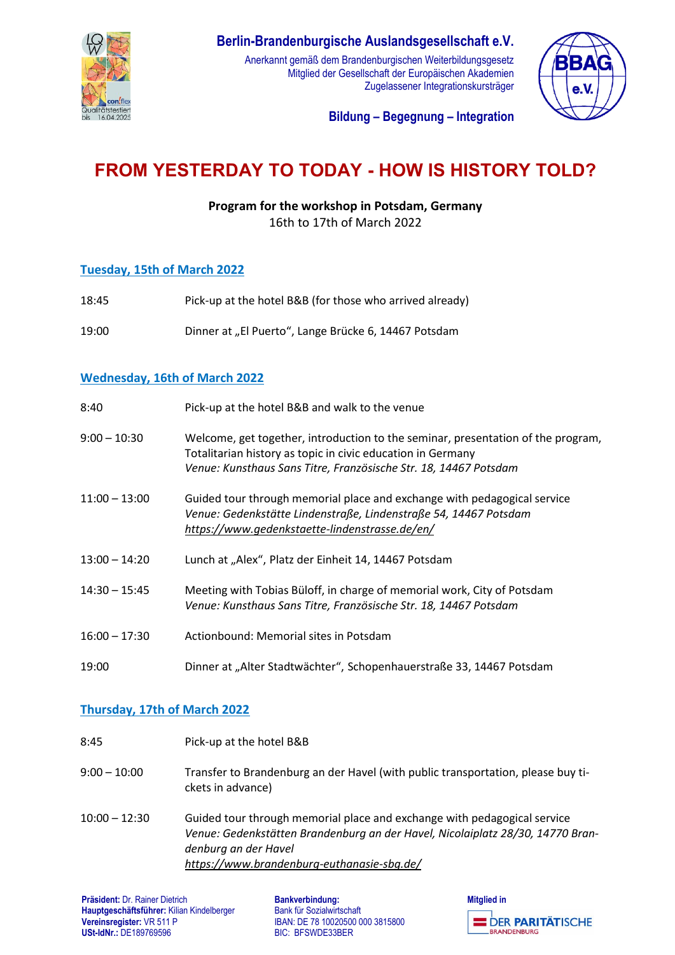

# **Berlin-Brandenburgische Auslandsgesellschaft e.V.**

Anerkannt gemäß dem Brandenburgischen Weiterbildungsgesetz Mitglied der Gesellschaft der Europäischen Akademien Zugelassener Integrationskursträger



**Bildung – Begegnung – Integration**

# **FROM YESTERDAY TO TODAY - HOW IS HISTORY TOLD?**

**Program for the workshop in Potsdam, Germany**

16th to 17th of March 2022

#### **Tuesday, 15th of March 2022**

18:45 Pick-up at the hotel B&B (for those who arrived already) 19:00 Dinner at "El Puerto", Lange Brücke 6, 14467 Potsdam

## **Wednesday, 16th of March 2022**

| 8:40            | Pick-up at the hotel B&B and walk to the venue                                                                                                                                                                      |
|-----------------|---------------------------------------------------------------------------------------------------------------------------------------------------------------------------------------------------------------------|
| $9:00 - 10:30$  | Welcome, get together, introduction to the seminar, presentation of the program,<br>Totalitarian history as topic in civic education in Germany<br>Venue: Kunsthaus Sans Titre, Französische Str. 18, 14467 Potsdam |
| 11:00 - 13:00   | Guided tour through memorial place and exchange with pedagogical service<br>Venue: Gedenkstätte Lindenstraße, Lindenstraße 54, 14467 Potsdam<br>https://www.gedenkstaette-lindenstrasse.de/en/                      |
| 13:00 - 14:20   | Lunch at "Alex", Platz der Einheit 14, 14467 Potsdam                                                                                                                                                                |
| $14:30 - 15:45$ | Meeting with Tobias Büloff, in charge of memorial work, City of Potsdam<br>Venue: Kunsthaus Sans Titre, Französische Str. 18, 14467 Potsdam                                                                         |
| $16:00 - 17:30$ | Actionbound: Memorial sites in Potsdam                                                                                                                                                                              |
| 19:00           | Dinner at "Alter Stadtwächter", Schopenhauerstraße 33, 14467 Potsdam                                                                                                                                                |

### **Thursday, 17th of March 2022**

8:45 Pick-up at the hotel B&B 9:00 – 10:00 Transfer to Brandenburg an der Havel (with public transportation, please buy tickets in advance) 10:00 – 12:30 Guided tour through memorial place and exchange with pedagogical service *Venue: Gedenkstätten Brandenburg an der Havel, Nicolaiplatz 28/30, 14770 Brandenburg an der Havel <https://www.brandenburg-euthanasie-sbg.de/>*

**Bankverbindung:** Bank für Sozialwirtschaft IBAN: DE 78 10020500 000 3815800 BIC: BFSWDE33BER